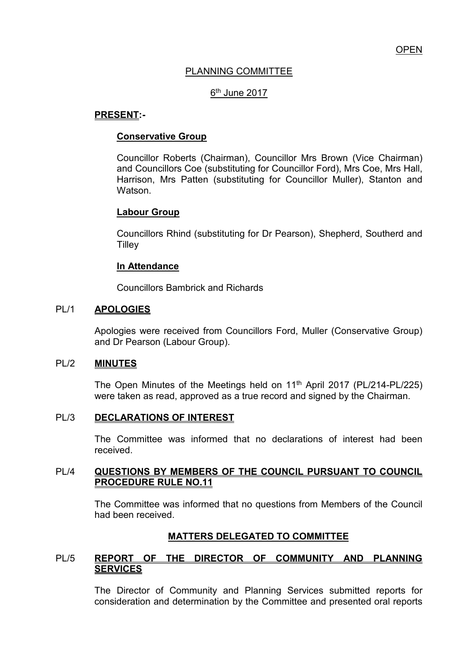## PLANNING COMMITTEE

# 6<sup>th</sup> June 2017

## **PRESENT:-**

## **Conservative Group**

Councillor Roberts (Chairman), Councillor Mrs Brown (Vice Chairman) and Councillors Coe (substituting for Councillor Ford), Mrs Coe, Mrs Hall, Harrison, Mrs Patten (substituting for Councillor Muller), Stanton and Watson.

### **Labour Group**

Councillors Rhind (substituting for Dr Pearson), Shepherd, Southerd and **Tilley** 

### **In Attendance**

Councillors Bambrick and Richards

## PL/1 **APOLOGIES**

Apologies were received from Councillors Ford, Muller (Conservative Group) and Dr Pearson (Labour Group).

### PL/2 **MINUTES**

The Open Minutes of the Meetings held on 11<sup>th</sup> April 2017 (PL/214-PL/225) were taken as read, approved as a true record and signed by the Chairman.

## PL/3 **DECLARATIONS OF INTEREST**

 The Committee was informed that no declarations of interest had been received.

### PL/4 **QUESTIONS BY MEMBERS OF THE COUNCIL PURSUANT TO COUNCIL PROCEDURE RULE NO.11**

 The Committee was informed that no questions from Members of the Council had been received.

### **MATTERS DELEGATED TO COMMITTEE**

## PL/5 **REPORT OF THE DIRECTOR OF COMMUNITY AND PLANNING SERVICES**

The Director of Community and Planning Services submitted reports for consideration and determination by the Committee and presented oral reports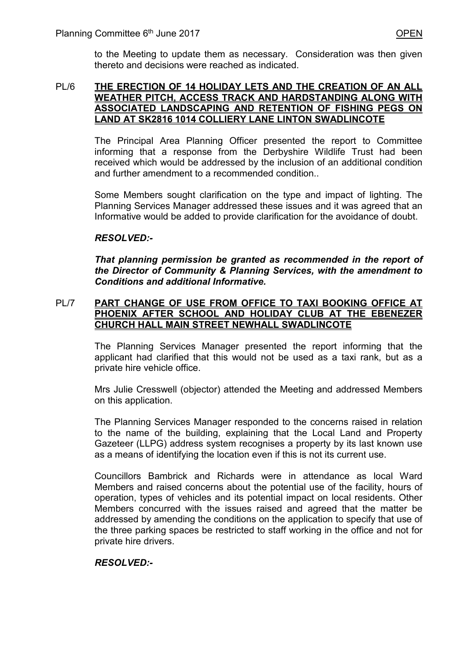to the Meeting to update them as necessary. Consideration was then given thereto and decisions were reached as indicated.

#### PL/6 **THE ERECTION OF 14 HOLIDAY LETS AND THE CREATION OF AN ALL WEATHER PITCH, ACCESS TRACK AND HARDSTANDING ALONG WITH ASSOCIATED LANDSCAPING AND RETENTION OF FISHING PEGS ON LAND AT SK2816 1014 COLLIERY LANE LINTON SWADLINCOTE**

 The Principal Area Planning Officer presented the report to Committee informing that a response from the Derbyshire Wildlife Trust had been received which would be addressed by the inclusion of an additional condition and further amendment to a recommended condition..

Some Members sought clarification on the type and impact of lighting. The Planning Services Manager addressed these issues and it was agreed that an Informative would be added to provide clarification for the avoidance of doubt.

# *RESOLVED:-*

*That planning permission be granted as recommended in the report of the Director of Community & Planning Services, with the amendment to Conditions and additional Informative.* 

## PL/7 **PART CHANGE OF USE FROM OFFICE TO TAXI BOOKING OFFICE AT PHOENIX AFTER SCHOOL AND HOLIDAY CLUB AT THE EBENEZER CHURCH HALL MAIN STREET NEWHALL SWADLINCOTE**

The Planning Services Manager presented the report informing that the applicant had clarified that this would not be used as a taxi rank, but as a private hire vehicle office.

Mrs Julie Cresswell (objector) attended the Meeting and addressed Members on this application.

The Planning Services Manager responded to the concerns raised in relation to the name of the building, explaining that the Local Land and Property Gazeteer (LLPG) address system recognises a property by its last known use as a means of identifying the location even if this is not its current use.

Councillors Bambrick and Richards were in attendance as local Ward Members and raised concerns about the potential use of the facility, hours of operation, types of vehicles and its potential impact on local residents. Other Members concurred with the issues raised and agreed that the matter be addressed by amending the conditions on the application to specify that use of the three parking spaces be restricted to staff working in the office and not for private hire drivers.

# *RESOLVED:-*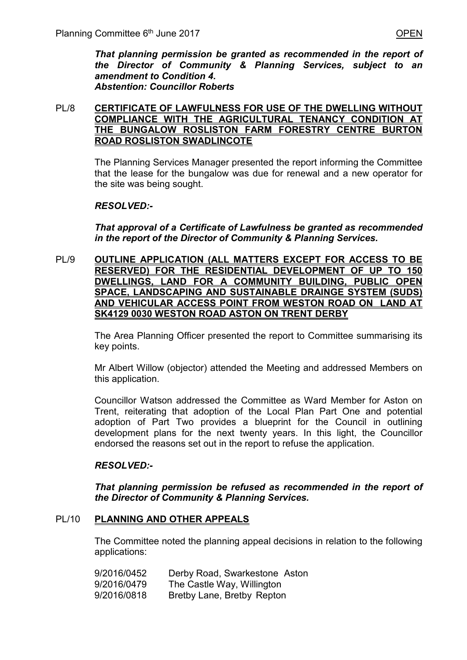*That planning permission be granted as recommended in the report of the Director of Community & Planning Services, subject to an amendment to Condition 4. Abstention: Councillor Roberts* 

### PL/8 **CERTIFICATE OF LAWFULNESS FOR USE OF THE DWELLING WITHOUT COMPLIANCE WITH THE AGRICULTURAL TENANCY CONDITION AT THE BUNGALOW ROSLISTON FARM FORESTRY CENTRE BURTON ROAD ROSLISTON SWADLINCOTE**

The Planning Services Manager presented the report informing the Committee that the lease for the bungalow was due for renewal and a new operator for the site was being sought.

### *RESOLVED:-*

*That approval of a Certificate of Lawfulness be granted as recommended in the report of the Director of Community & Planning Services.* 

PL/9 **OUTLINE APPLICATION (ALL MATTERS EXCEPT FOR ACCESS TO BE RESERVED) FOR THE RESIDENTIAL DEVELOPMENT OF UP TO 150 DWELLINGS, LAND FOR A COMMUNITY BUILDING, PUBLIC OPEN SPACE, LANDSCAPING AND SUSTAINABLE DRAINGE SYSTEM (SUDS) AND VEHICULAR ACCESS POINT FROM WESTON ROAD ON LAND AT SK4129 0030 WESTON ROAD ASTON ON TRENT DERBY** 

> The Area Planning Officer presented the report to Committee summarising its key points.

> Mr Albert Willow (objector) attended the Meeting and addressed Members on this application.

> Councillor Watson addressed the Committee as Ward Member for Aston on Trent, reiterating that adoption of the Local Plan Part One and potential adoption of Part Two provides a blueprint for the Council in outlining development plans for the next twenty years. In this light, the Councillor endorsed the reasons set out in the report to refuse the application.

### *RESOLVED:-*

*That planning permission be refused as recommended in the report of the Director of Community & Planning Services.* 

### PL/10 **PLANNING AND OTHER APPEALS**

 The Committee noted the planning appeal decisions in relation to the following applications:

| 9/2016/0452 | Derby Road, Swarkestone Aston |
|-------------|-------------------------------|
| 9/2016/0479 | The Castle Way, Willington    |
| 9/2016/0818 | Bretby Lane, Bretby Repton    |